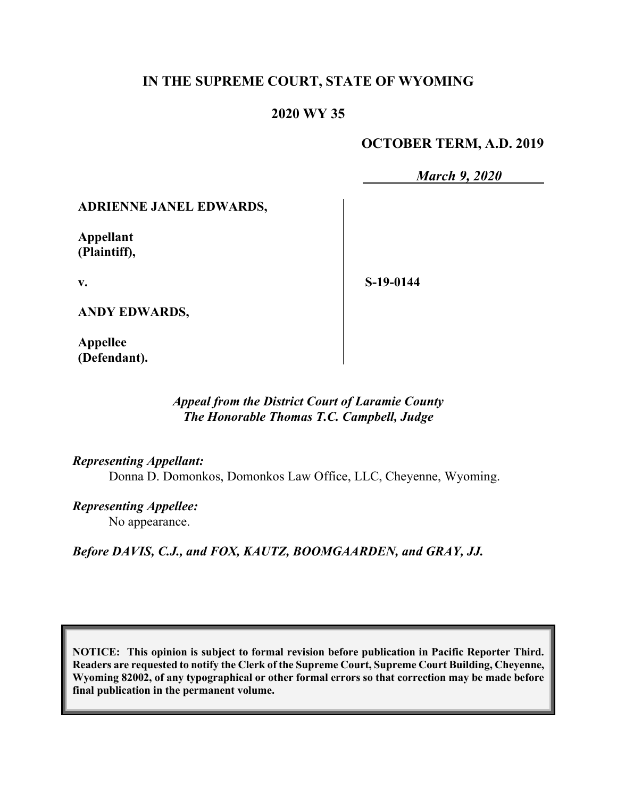# **IN THE SUPREME COURT, STATE OF WYOMING**

# **2020 WY 35**

# **OCTOBER TERM, A.D. 2019**

*March 9, 2020*

## **ADRIENNE JANEL EDWARDS,**

**Appellant (Plaintiff),**

**v.**

**S-19-0144**

**ANDY EDWARDS,**

**Appellee (Defendant).**

## *Appeal from the District Court of Laramie County The Honorable Thomas T.C. Campbell, Judge*

*Representing Appellant:*

Donna D. Domonkos, Domonkos Law Office, LLC, Cheyenne, Wyoming.

*Representing Appellee:* No appearance.

*Before DAVIS, C.J., and FOX, KAUTZ, BOOMGAARDEN, and GRAY, JJ.*

**NOTICE: This opinion is subject to formal revision before publication in Pacific Reporter Third. Readers are requested to notify the Clerk of the Supreme Court, Supreme Court Building, Cheyenne, Wyoming 82002, of any typographical or other formal errors so that correction may be made before final publication in the permanent volume.**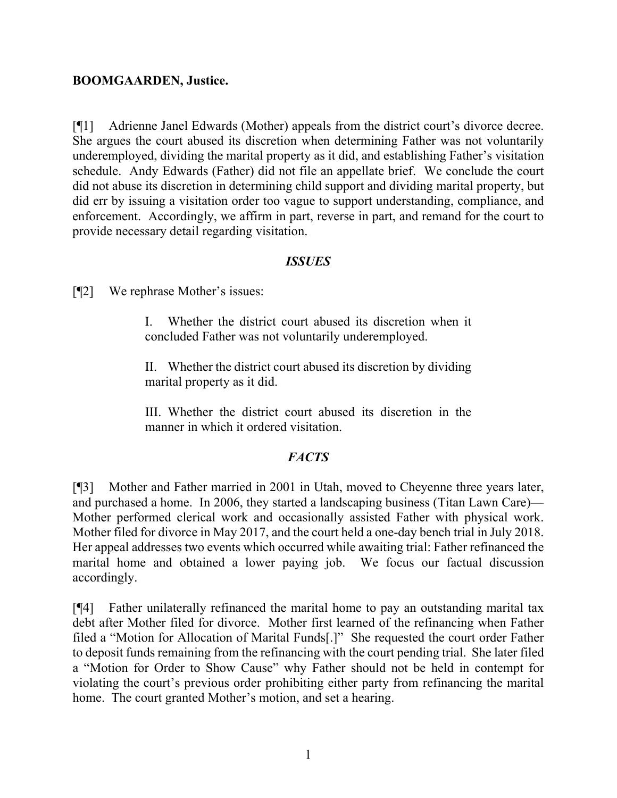### **BOOMGAARDEN, Justice.**

[¶1] Adrienne Janel Edwards (Mother) appeals from the district court's divorce decree. She argues the court abused its discretion when determining Father was not voluntarily underemployed, dividing the marital property as it did, and establishing Father's visitation schedule. Andy Edwards (Father) did not file an appellate brief. We conclude the court did not abuse its discretion in determining child support and dividing marital property, but did err by issuing a visitation order too vague to support understanding, compliance, and enforcement. Accordingly, we affirm in part, reverse in part, and remand for the court to provide necessary detail regarding visitation.

### *ISSUES*

[¶2] We rephrase Mother's issues:

I. Whether the district court abused its discretion when it concluded Father was not voluntarily underemployed.

II. Whether the district court abused its discretion by dividing marital property as it did.

III. Whether the district court abused its discretion in the manner in which it ordered visitation.

# *FACTS*

[¶3] Mother and Father married in 2001 in Utah, moved to Cheyenne three years later, and purchased a home. In 2006, they started a landscaping business (Titan Lawn Care)— Mother performed clerical work and occasionally assisted Father with physical work. Mother filed for divorce in May 2017, and the court held a one-day bench trial in July 2018. Her appeal addresses two events which occurred while awaiting trial: Father refinanced the marital home and obtained a lower paying job. We focus our factual discussion accordingly.

[¶4] Father unilaterally refinanced the marital home to pay an outstanding marital tax debt after Mother filed for divorce. Mother first learned of the refinancing when Father filed a "Motion for Allocation of Marital Funds[.]" She requested the court order Father to deposit funds remaining from the refinancing with the court pending trial. She later filed a "Motion for Order to Show Cause" why Father should not be held in contempt for violating the court's previous order prohibiting either party from refinancing the marital home. The court granted Mother's motion, and set a hearing.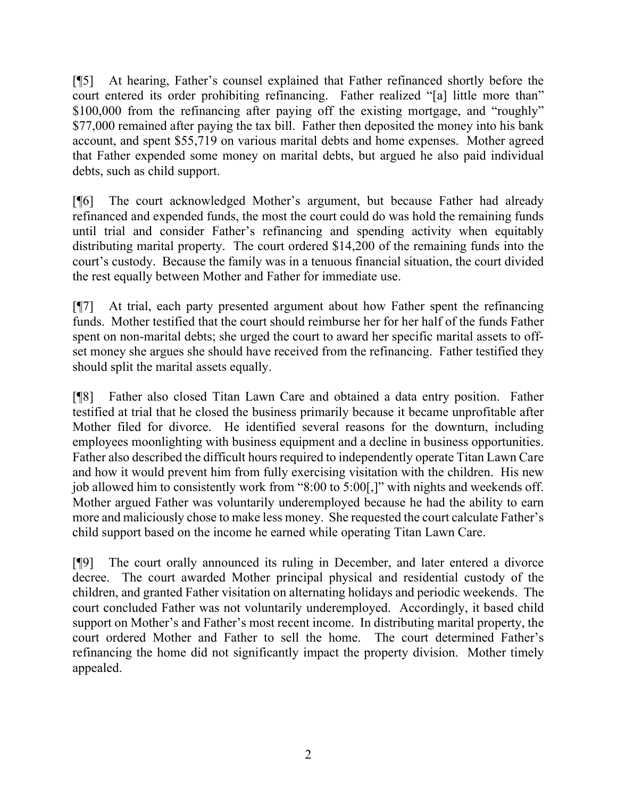[¶5] At hearing, Father's counsel explained that Father refinanced shortly before the court entered its order prohibiting refinancing. Father realized "[a] little more than" \$100,000 from the refinancing after paying off the existing mortgage, and "roughly" \$77,000 remained after paying the tax bill. Father then deposited the money into his bank account, and spent \$55,719 on various marital debts and home expenses. Mother agreed that Father expended some money on marital debts, but argued he also paid individual debts, such as child support.

[¶6] The court acknowledged Mother's argument, but because Father had already refinanced and expended funds, the most the court could do was hold the remaining funds until trial and consider Father's refinancing and spending activity when equitably distributing marital property. The court ordered \$14,200 of the remaining funds into the court's custody. Because the family was in a tenuous financial situation, the court divided the rest equally between Mother and Father for immediate use.

[¶7] At trial, each party presented argument about how Father spent the refinancing funds. Mother testified that the court should reimburse her for her half of the funds Father spent on non-marital debts; she urged the court to award her specific marital assets to offset money she argues she should have received from the refinancing. Father testified they should split the marital assets equally.

[¶8] Father also closed Titan Lawn Care and obtained a data entry position. Father testified at trial that he closed the business primarily because it became unprofitable after Mother filed for divorce. He identified several reasons for the downturn, including employees moonlighting with business equipment and a decline in business opportunities. Father also described the difficult hours required to independently operate Titan Lawn Care and how it would prevent him from fully exercising visitation with the children. His new job allowed him to consistently work from "8:00 to 5:00[,]" with nights and weekends off. Mother argued Father was voluntarily underemployed because he had the ability to earn more and maliciously chose to make less money. She requested the court calculate Father's child support based on the income he earned while operating Titan Lawn Care.

[¶9] The court orally announced its ruling in December, and later entered a divorce decree. The court awarded Mother principal physical and residential custody of the children, and granted Father visitation on alternating holidays and periodic weekends. The court concluded Father was not voluntarily underemployed. Accordingly, it based child support on Mother's and Father's most recent income. In distributing marital property, the court ordered Mother and Father to sell the home. The court determined Father's refinancing the home did not significantly impact the property division. Mother timely appealed.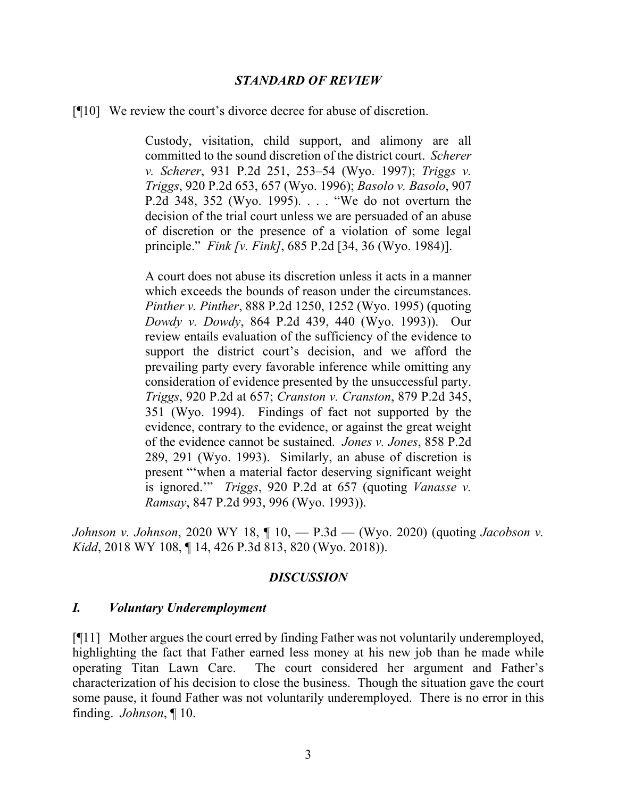#### *STANDARD OF REVIEW*

[¶10] We review the court's divorce decree for abuse of discretion.

Custody, visitation, child support, and alimony are all committed to the sound discretion of the district court. *Scherer v. Scherer*, 931 P.2d 251, 253–54 (Wyo. 1997); *Triggs v. Triggs*, 920 P.2d 653, 657 (Wyo. 1996); *Basolo v. Basolo*, 907 P.2d 348, 352 (Wyo. 1995). . . . "We do not overturn the decision of the trial court unless we are persuaded of an abuse of discretion or the presence of a violation of some legal principle." *Fink [v. Fink]*, 685 P.2d [34, 36 (Wyo. 1984)].

A court does not abuse its discretion unless it acts in a manner which exceeds the bounds of reason under the circumstances. *Pinther v. Pinther*, 888 P.2d 1250, 1252 (Wyo. 1995) (quoting *Dowdy v. Dowdy*, 864 P.2d 439, 440 (Wyo. 1993)). Our review entails evaluation of the sufficiency of the evidence to support the district court's decision, and we afford the prevailing party every favorable inference while omitting any consideration of evidence presented by the unsuccessful party. *Triggs*, 920 P.2d at 657; *Cranston v. Cranston*, 879 P.2d 345, 351 (Wyo. 1994). Findings of fact not supported by the evidence, contrary to the evidence, or against the great weight of the evidence cannot be sustained. *Jones v. Jones*, 858 P.2d 289, 291 (Wyo. 1993). Similarly, an abuse of discretion is present "'when a material factor deserving significant weight is ignored.'" *Triggs*, 920 P.2d at 657 (quoting *Vanasse v. Ramsay*, 847 P.2d 993, 996 (Wyo. 1993)).

*Johnson v. Johnson*, 2020 WY 18, ¶ 10, — P.3d — (Wyo. 2020) (quoting *Jacobson v. Kidd*, 2018 WY 108, ¶ 14, 426 P.3d 813, 820 (Wyo. 2018)).

#### *DISCUSSION*

#### *I. Voluntary Underemployment*

[¶11] Mother argues the court erred by finding Father was not voluntarily underemployed, highlighting the fact that Father earned less money at his new job than he made while operating Titan Lawn Care. The court considered her argument and Father's characterization of his decision to close the business. Though the situation gave the court some pause, it found Father was not voluntarily underemployed. There is no error in this finding. *Johnson*, ¶ 10.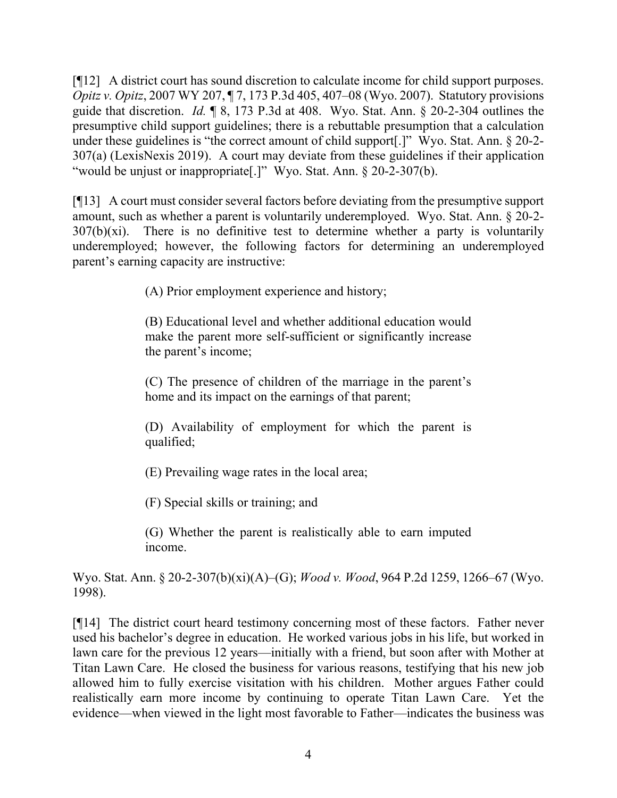[¶12] A district court has sound discretion to calculate income for child support purposes. *Opitz v. Opitz*, 2007 WY 207, ¶ 7, 173 P.3d 405, 407–08 (Wyo. 2007). Statutory provisions guide that discretion. *Id.* ¶ 8, 173 P.3d at 408. Wyo. Stat. Ann. § 20-2-304 outlines the presumptive child support guidelines; there is a rebuttable presumption that a calculation under these guidelines is "the correct amount of child support[.]" Wyo. Stat. Ann. § 20-2- 307(a) (LexisNexis 2019). A court may deviate from these guidelines if their application "would be unjust or inappropriate[.]" Wyo. Stat. Ann. § 20-2-307(b).

[¶13] A court must consider several factors before deviating from the presumptive support amount, such as whether a parent is voluntarily underemployed. Wyo. Stat. Ann. § 20-2-  $307(b)(xi)$ . There is no definitive test to determine whether a party is voluntarily underemployed; however, the following factors for determining an underemployed parent's earning capacity are instructive:

(A) Prior employment experience and history;

(B) Educational level and whether additional education would make the parent more self-sufficient or significantly increase the parent's income;

(C) The presence of children of the marriage in the parent's home and its impact on the earnings of that parent;

(D) Availability of employment for which the parent is qualified;

(E) Prevailing wage rates in the local area;

(F) Special skills or training; and

(G) Whether the parent is realistically able to earn imputed income.

Wyo. Stat. Ann. § 20-2-307(b)(xi)(A)–(G); *Wood v. Wood*, 964 P.2d 1259, 1266–67 (Wyo. 1998).

[¶14] The district court heard testimony concerning most of these factors. Father never used his bachelor's degree in education. He worked various jobs in his life, but worked in lawn care for the previous 12 years—initially with a friend, but soon after with Mother at Titan Lawn Care. He closed the business for various reasons, testifying that his new job allowed him to fully exercise visitation with his children. Mother argues Father could realistically earn more income by continuing to operate Titan Lawn Care. Yet the evidence—when viewed in the light most favorable to Father—indicates the business was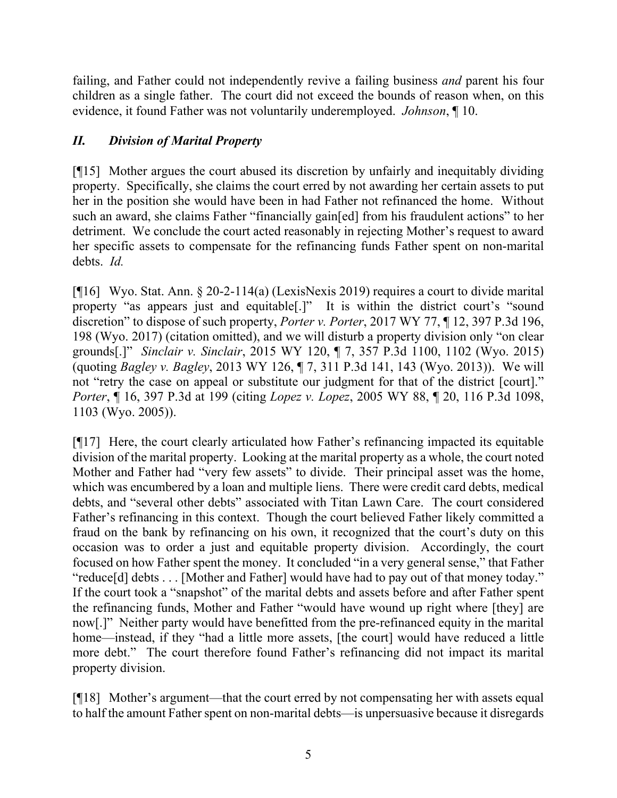failing, and Father could not independently revive a failing business *and* parent his four children as a single father. The court did not exceed the bounds of reason when, on this evidence, it found Father was not voluntarily underemployed. *Johnson*, ¶ 10.

# *II. Division of Marital Property*

[¶15] Mother argues the court abused its discretion by unfairly and inequitably dividing property. Specifically, she claims the court erred by not awarding her certain assets to put her in the position she would have been in had Father not refinanced the home. Without such an award, she claims Father "financially gain[ed] from his fraudulent actions" to her detriment. We conclude the court acted reasonably in rejecting Mother's request to award her specific assets to compensate for the refinancing funds Father spent on non-marital debts. *Id.*

[¶16] Wyo. Stat. Ann. § 20-2-114(a) (LexisNexis 2019) requires a court to divide marital property "as appears just and equitable[.]" It is within the district court's "sound discretion" to dispose of such property, *Porter v. Porter*, 2017 WY 77, ¶ 12, 397 P.3d 196, 198 (Wyo. 2017) (citation omitted), and we will disturb a property division only "on clear grounds[.]" *Sinclair v. Sinclair*, 2015 WY 120, ¶ 7, 357 P.3d 1100, 1102 (Wyo. 2015) (quoting *Bagley v. Bagley*, 2013 WY 126, ¶ 7, 311 P.3d 141, 143 (Wyo. 2013)). We will not "retry the case on appeal or substitute our judgment for that of the district [court]." *Porter*, ¶ 16, 397 P.3d at 199 (citing *Lopez v. Lopez*, 2005 WY 88, ¶ 20, 116 P.3d 1098, 1103 (Wyo. 2005)).

[¶17] Here, the court clearly articulated how Father's refinancing impacted its equitable division of the marital property. Looking at the marital property as a whole, the court noted Mother and Father had "very few assets" to divide. Their principal asset was the home, which was encumbered by a loan and multiple liens. There were credit card debts, medical debts, and "several other debts" associated with Titan Lawn Care. The court considered Father's refinancing in this context. Though the court believed Father likely committed a fraud on the bank by refinancing on his own, it recognized that the court's duty on this occasion was to order a just and equitable property division. Accordingly, the court focused on how Father spent the money. It concluded "in a very general sense," that Father "reduce[d] debts . . . [Mother and Father] would have had to pay out of that money today." If the court took a "snapshot" of the marital debts and assets before and after Father spent the refinancing funds, Mother and Father "would have wound up right where [they] are now[.]" Neither party would have benefitted from the pre-refinanced equity in the marital home—instead, if they "had a little more assets, [the court] would have reduced a little more debt." The court therefore found Father's refinancing did not impact its marital property division.

[¶18] Mother's argument—that the court erred by not compensating her with assets equal to half the amount Father spent on non-marital debts—is unpersuasive because it disregards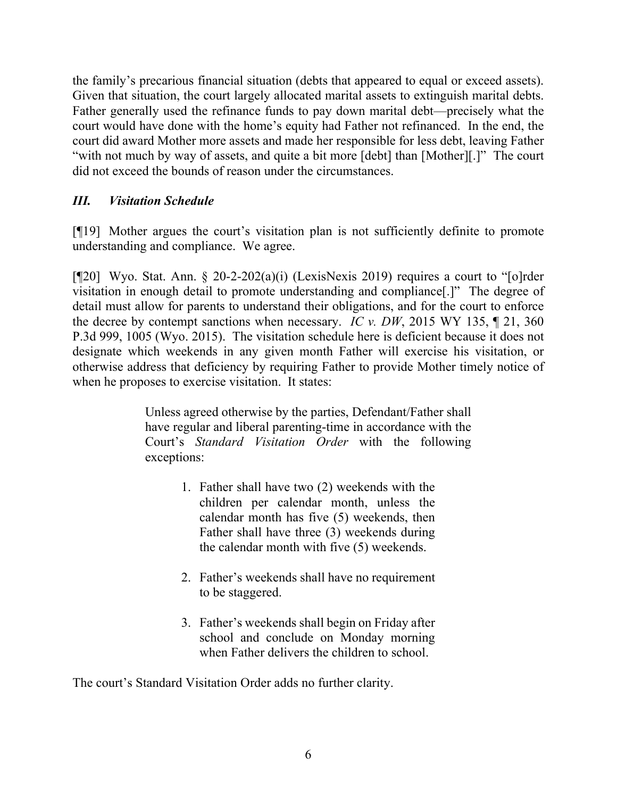the family's precarious financial situation (debts that appeared to equal or exceed assets). Given that situation, the court largely allocated marital assets to extinguish marital debts. Father generally used the refinance funds to pay down marital debt—precisely what the court would have done with the home's equity had Father not refinanced. In the end, the court did award Mother more assets and made her responsible for less debt, leaving Father "with not much by way of assets, and quite a bit more [debt] than [Mother][.]" The court did not exceed the bounds of reason under the circumstances.

# *III. Visitation Schedule*

[¶19] Mother argues the court's visitation plan is not sufficiently definite to promote understanding and compliance. We agree.

[¶20] Wyo. Stat. Ann. § 20-2-202(a)(i) (LexisNexis 2019) requires a court to "[o]rder visitation in enough detail to promote understanding and compliance[.]" The degree of detail must allow for parents to understand their obligations, and for the court to enforce the decree by contempt sanctions when necessary. *IC v. DW*, 2015 WY 135, ¶ 21, 360 P.3d 999, 1005 (Wyo. 2015). The visitation schedule here is deficient because it does not designate which weekends in any given month Father will exercise his visitation, or otherwise address that deficiency by requiring Father to provide Mother timely notice of when he proposes to exercise visitation. It states:

> Unless agreed otherwise by the parties, Defendant/Father shall have regular and liberal parenting-time in accordance with the Court's *Standard Visitation Order* with the following exceptions:

- 1. Father shall have two (2) weekends with the children per calendar month, unless the calendar month has five (5) weekends, then Father shall have three (3) weekends during the calendar month with five (5) weekends.
- 2. Father's weekends shall have no requirement to be staggered.
- 3. Father's weekends shall begin on Friday after school and conclude on Monday morning when Father delivers the children to school.

The court's Standard Visitation Order adds no further clarity.